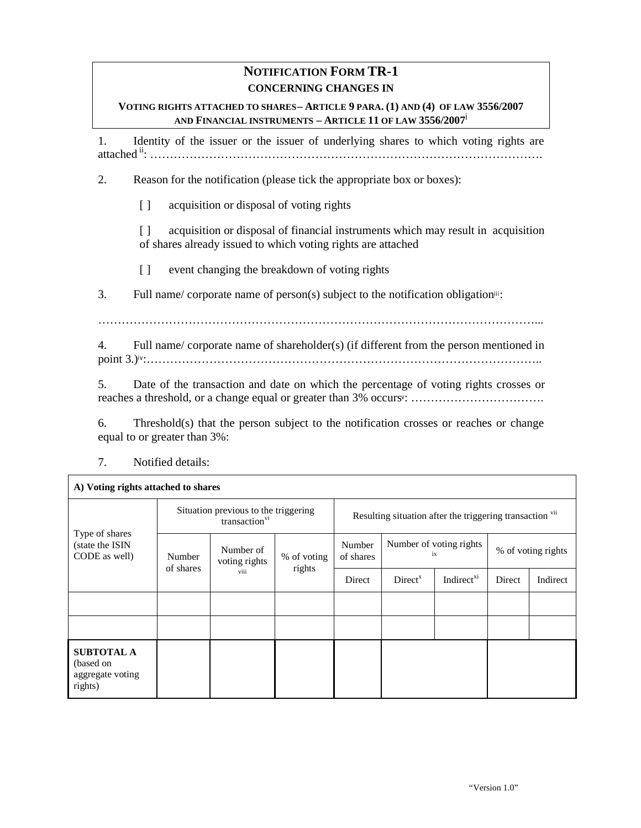# **NOTIFICATION FORM TR-1 CONCERNING CHANGES IN**

#### **VOTING RIGHTS ATTACHED TO SHARES– ARTICLE 9 PARA. (1) AND (4) OF LAW 3556/2007 AND FINANCIAL INSTRUMENTS – ARTICLE 11 OF LAW 3556/2007**i

1. Identity of the issuer or the issuer of underlying shares to which voting rights are attached ii: ……………………………………………………………………………………….

2. Reason for the notification (please tick the appropriate box or boxes):

[ ] acquisition or disposal of voting rights

[ ] acquisition or disposal of financial instruments which may result in acquisition of shares already issued to which voting rights are attached

[ ] event changing the breakdown of voting rights

3. Full name/ corporate name of person(s) subject to the notification obligationiii:

…………………………………………………………………………………………………...

4. Full name/ corporate name of shareholder(s) (if different from the person mentioned in point 3.)iv:………………………………………………………………………………………..

5. Date of the transaction and date on which the percentage of voting rights crosses or reaches a threshold, or a change equal or greater than 3% occurs<sup>v</sup> : …………………………….

6. Threshold(s) that the person subject to the notification crosses or reaches or change equal to or greater than 3%:

7. Notified details:

Г

| A) Voting rights attached to shares                           |                                                                   |                                    |                       |                                                          |                               |                        |                    |          |
|---------------------------------------------------------------|-------------------------------------------------------------------|------------------------------------|-----------------------|----------------------------------------------------------|-------------------------------|------------------------|--------------------|----------|
| Type of shares<br>(state the ISIN<br>CODE as well)            | Situation previous to the triggering<br>transaction <sup>vi</sup> |                                    |                       | Resulting situation after the triggering transaction vii |                               |                        |                    |          |
|                                                               | Number<br>of shares                                               | Number of<br>voting rights<br>viii | % of voting<br>rights | Number<br>of shares                                      | Number of voting rights<br>ix |                        | % of voting rights |          |
|                                                               |                                                                   |                                    |                       | Direct                                                   | Direct <sup>x</sup>           | Indirect <sup>xi</sup> | Direct             | Indirect |
|                                                               |                                                                   |                                    |                       |                                                          |                               |                        |                    |          |
|                                                               |                                                                   |                                    |                       |                                                          |                               |                        |                    |          |
| <b>SUBTOTAL A</b><br>(based on<br>aggregate voting<br>rights) |                                                                   |                                    |                       |                                                          |                               |                        |                    |          |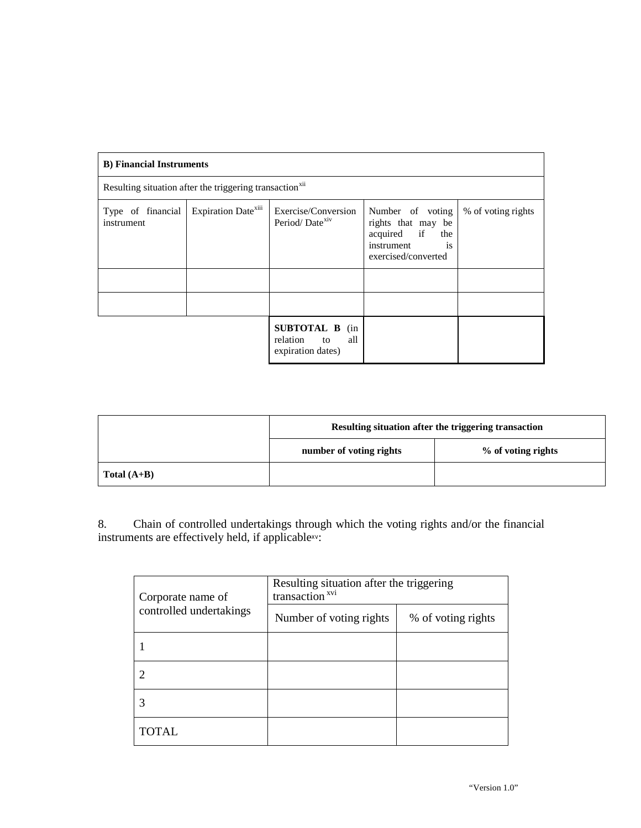| <b>B</b> ) Financial Instruments                                    |  |                                                                  |                                                                                                         |                    |  |
|---------------------------------------------------------------------|--|------------------------------------------------------------------|---------------------------------------------------------------------------------------------------------|--------------------|--|
| Resulting situation after the triggering transaction <sup>xii</sup> |  |                                                                  |                                                                                                         |                    |  |
| Expiration Date <sup>xiii</sup><br>Type of financial<br>instrument  |  | Exercise/Conversion<br>Period/Date <sup>xiv</sup>                | Number of voting<br>rights that may be<br>acquired if<br>the<br>instrument<br>is<br>exercised/converted | % of voting rights |  |
|                                                                     |  |                                                                  |                                                                                                         |                    |  |
|                                                                     |  |                                                                  |                                                                                                         |                    |  |
|                                                                     |  | <b>SUBTOTAL B</b> (in<br>relation to<br>all<br>expiration dates) |                                                                                                         |                    |  |

|               | Resulting situation after the triggering transaction |                    |  |  |
|---------------|------------------------------------------------------|--------------------|--|--|
|               | number of voting rights                              | % of voting rights |  |  |
| Total $(A+B)$ |                                                      |                    |  |  |

8. Chain of controlled undertakings through which the voting rights and/or the financial instruments are effectively held, if applicablexv:

| Corporate name of       | Resulting situation after the triggering<br>transaction <sup>xvi</sup> |                    |  |  |  |
|-------------------------|------------------------------------------------------------------------|--------------------|--|--|--|
| controlled undertakings | Number of voting rights                                                | % of voting rights |  |  |  |
|                         |                                                                        |                    |  |  |  |
|                         |                                                                        |                    |  |  |  |
|                         |                                                                        |                    |  |  |  |
| <b>TOTAL</b>            |                                                                        |                    |  |  |  |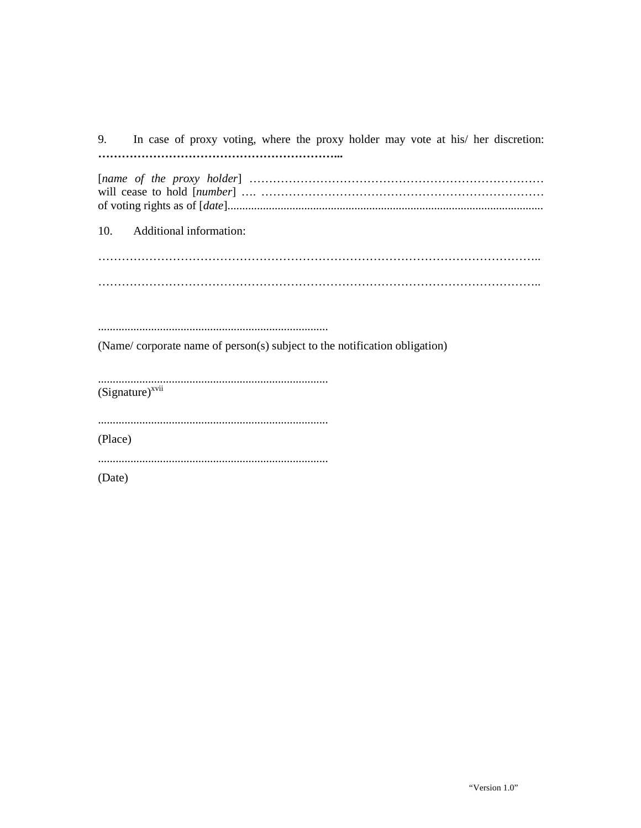9. In case of proxy voting, where the proxy holder may vote at his/ her discretion: 

10. Additional information:

(Name/corporate name of person(s) subject to the notification obligation)

 $(Signature)^{xvii}$ 

(Place)

(Date)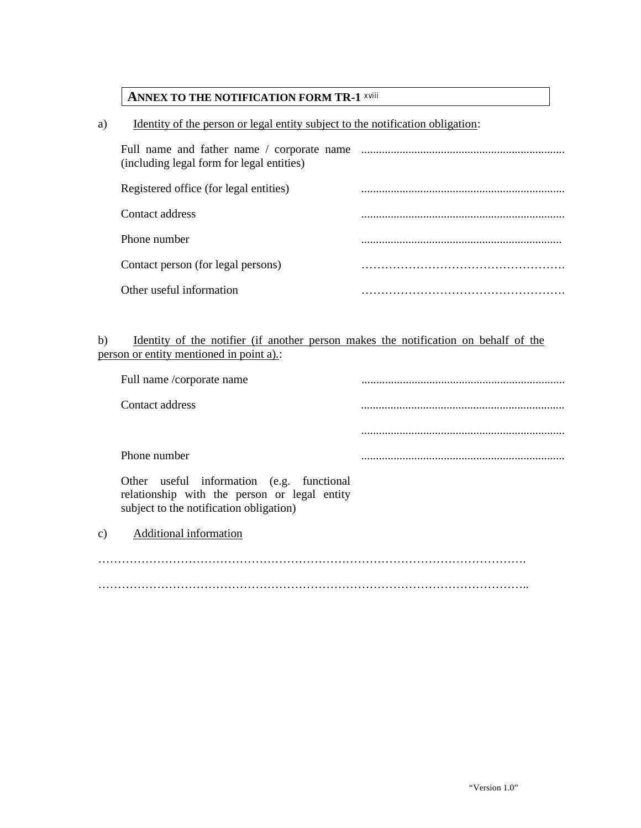## **ANNEX TO THE NOTIFICATION FORM TR-1** xviii

### a) Identity of the person or legal entity subject to the notification obligation:

| Full name and father name / corporate name<br>(including legal form for legal entities) |  |
|-----------------------------------------------------------------------------------------|--|
| Registered office (for legal entities)                                                  |  |
| Contact address                                                                         |  |
| Phone number                                                                            |  |
| Contact person (for legal persons)                                                      |  |
| Other useful information                                                                |  |

## b) Identity of the notifier (if another person makes the notification on behalf of the person or entity mentioned in point a).:

|    | Full name /corporate name                                                                                                            |  |
|----|--------------------------------------------------------------------------------------------------------------------------------------|--|
|    | Contact address                                                                                                                      |  |
|    |                                                                                                                                      |  |
|    | Phone number                                                                                                                         |  |
|    | Other useful information (e.g. functional<br>relationship with the person or legal entity<br>subject to the notification obligation) |  |
| c) | Additional information                                                                                                               |  |
|    |                                                                                                                                      |  |
|    |                                                                                                                                      |  |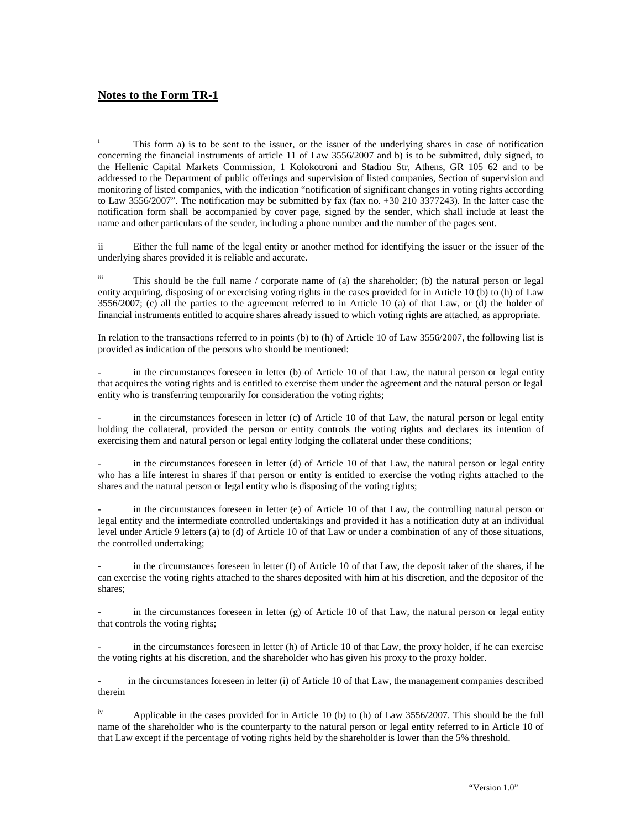#### **Notes to the Form TR-1**

-

ii Either the full name of the legal entity or another method for identifying the issuer or the issuer of the underlying shares provided it is reliable and accurate.

iii This should be the full name / corporate name of (a) the shareholder; (b) the natural person or legal entity acquiring, disposing of or exercising voting rights in the cases provided for in Article 10 (b) to (h) of Law  $3556/2007$ ; (c) all the parties to the agreement referred to in Article 10 (a) of that Law, or (d) the holder of financial instruments entitled to acquire shares already issued to which voting rights are attached, as appropriate.

In relation to the transactions referred to in points (b) to (h) of Article 10 of Law 3556/2007, the following list is provided as indication of the persons who should be mentioned:

in the circumstances foreseen in letter (b) of Article 10 of that Law, the natural person or legal entity that acquires the voting rights and is entitled to exercise them under the agreement and the natural person or legal entity who is transferring temporarily for consideration the voting rights;

in the circumstances foreseen in letter (c) of Article 10 of that Law, the natural person or legal entity holding the collateral, provided the person or entity controls the voting rights and declares its intention of exercising them and natural person or legal entity lodging the collateral under these conditions;

in the circumstances foreseen in letter (d) of Article 10 of that Law, the natural person or legal entity who has a life interest in shares if that person or entity is entitled to exercise the voting rights attached to the shares and the natural person or legal entity who is disposing of the voting rights;

in the circumstances foreseen in letter (e) of Article 10 of that Law, the controlling natural person or legal entity and the intermediate controlled undertakings and provided it has a notification duty at an individual level under Article 9 letters (a) to (d) of Article 10 of that Law or under a combination of any of those situations, the controlled undertaking;

in the circumstances foreseen in letter  $(f)$  of Article 10 of that Law, the deposit taker of the shares, if he can exercise the voting rights attached to the shares deposited with him at his discretion, and the depositor of the shares;

in the circumstances foreseen in letter  $(g)$  of Article 10 of that Law, the natural person or legal entity that controls the voting rights;

in the circumstances foreseen in letter (h) of Article 10 of that Law, the proxy holder, if he can exercise the voting rights at his discretion, and the shareholder who has given his proxy to the proxy holder.

in the circumstances foreseen in letter (i) of Article 10 of that Law, the management companies described therein

 $i<sup>v</sup>$  Applicable in the cases provided for in Article 10 (b) to (h) of Law 3556/2007. This should be the full name of the shareholder who is the counterparty to the natural person or legal entity referred to in Article 10 of that Law except if the percentage of voting rights held by the shareholder is lower than the 5% threshold.

i This form a) is to be sent to the issuer, or the issuer of the underlying shares in case of notification concerning the financial instruments of article 11 of Law 3556/2007 and b) is to be submitted, duly signed, to the Hellenic Capital Markets Commission, 1 Kolokotroni and Stadiou Str, Athens, GR 105 62 and to be addressed to the Department of public offerings and supervision of listed companies, Section of supervision and monitoring of listed companies, with the indication "notification of significant changes in voting rights according to Law 3556/2007". The notification may be submitted by fax (fax no. +30 210 3377243). In the latter case the notification form shall be accompanied by cover page, signed by the sender, which shall include at least the name and other particulars of the sender, including a phone number and the number of the pages sent.